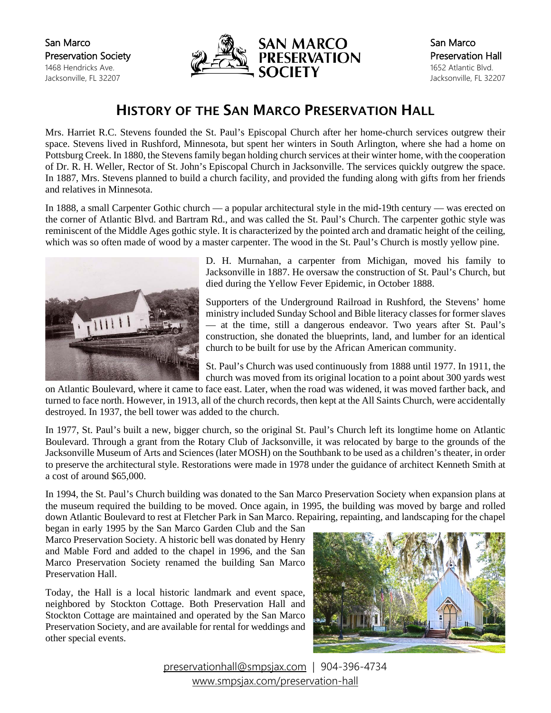San Marco Preservation Society 1468 Hendricks Ave. Jacksonville, FL 32207



## HISTORY OF THE SAN MARCO PRESERVATION HALL

Mrs. Harriet R.C. Stevens founded the St. Paul's Episcopal Church after her home-church services outgrew their space. Stevens lived in Rushford, Minnesota, but spent her winters in South Arlington, where she had a home on Pottsburg Creek. In 1880, the Stevens family began holding church services at their winter home, with the cooperation of Dr. R. H. Weller, Rector of St. John's Episcopal Church in Jacksonville. The services quickly outgrew the space. In 1887, Mrs. Stevens planned to build a church facility, and provided the funding along with gifts from her friends and relatives in Minnesota.

In 1888, a small Carpenter Gothic church — a popular architectural style in the mid-19th century — was erected on the corner of Atlantic Blvd. and Bartram Rd., and was called the St. Paul's Church. The carpenter gothic style was reminiscent of the Middle Ages gothic style. It is characterized by the pointed arch and dramatic height of the ceiling, which was so often made of wood by a master carpenter. The wood in the St. Paul's Church is mostly yellow pine.



D. H. Murnahan, a carpenter from Michigan, moved his family to Jacksonville in 1887. He oversaw the construction of St. Paul's Church, but died during the Yellow Fever Epidemic, in October 1888.

Supporters of the Underground Railroad in Rushford, the Stevens' home ministry included Sunday School and Bible literacy classes for former slaves — at the time, still a dangerous endeavor. Two years after St. Paul's construction, she donated the blueprints, land, and lumber for an identical church to be built for use by the African American community.

St. Paul's Church was used continuously from 1888 until 1977. In 1911, the church was moved from its original location to a point about 300 yards west

on Atlantic Boulevard, where it came to face east. Later, when the road was widened, it was moved farther back, and turned to face north. However, in 1913, all of the church records, then kept at the All Saints Church, were accidentally destroyed. In 1937, the bell tower was added to the church.

In 1977, St. Paul's built a new, bigger church, so the original St. Paul's Church left its longtime home on Atlantic Boulevard. Through a grant from the Rotary Club of Jacksonville, it was relocated by barge to the grounds of the Jacksonville Museum of Arts and Sciences (later MOSH) on the Southbank to be used as a children's theater, in order to preserve the architectural style. Restorations were made in 1978 under the guidance of architect Kenneth Smith at a cost of around \$65,000.

In 1994, the St. Paul's Church building was donated to the San Marco Preservation Society when expansion plans at the museum required the building to be moved. Once again, in 1995, the building was moved by barge and rolled down Atlantic Boulevard to rest at Fletcher Park in San Marco. Repairing, repainting, and landscaping for the chapel

began in early 1995 by the San Marco Garden Club and the San Marco Preservation Society. A historic bell was donated by Henry and Mable Ford and added to the chapel in 1996, and the San Marco Preservation Society renamed the building San Marco Preservation Hall.

Today, the Hall is a local historic landmark and event space, neighbored by Stockton Cottage. Both Preservation Hall and Stockton Cottage are maintained and operated by the San Marco Preservation Society, and are available for rental for weddings and other special events.



[preservationhall@smpsjax.com](mailto:preservationhall@smpsjax.com) | 904-396-4734 [www.smpsjax.com/preservation-hall](http://www.smpsjax.com/preservation-hall/)